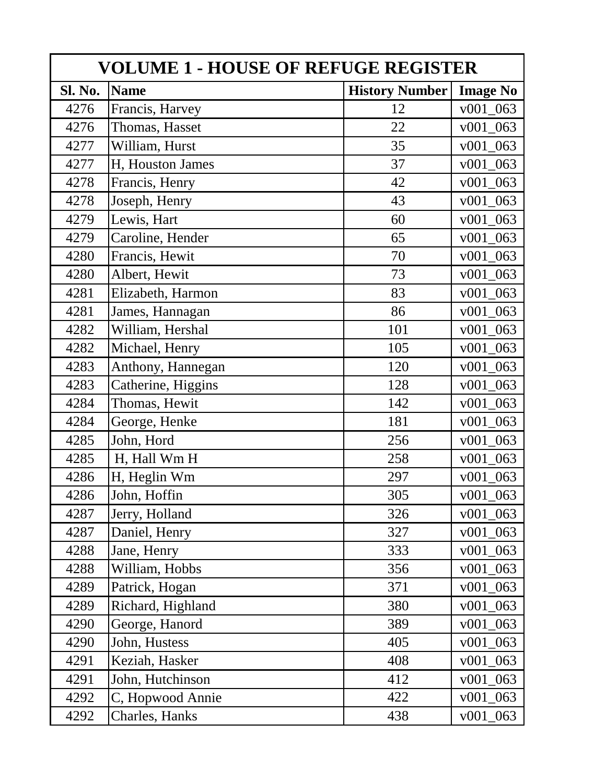| <b>VOLUME 1 - HOUSE OF REFUGE REGISTER</b> |                    |                       |                 |  |
|--------------------------------------------|--------------------|-----------------------|-----------------|--|
| Sl. No.                                    | <b>Name</b>        | <b>History Number</b> | <b>Image No</b> |  |
| 4276                                       | Francis, Harvey    | 12                    | $v001_063$      |  |
| 4276                                       | Thomas, Hasset     | 22                    | $v001_063$      |  |
| 4277                                       | William, Hurst     | 35                    | v001 063        |  |
| 4277                                       | H, Houston James   | 37                    | $v001_063$      |  |
| 4278                                       | Francis, Henry     | 42                    | v001 063        |  |
| 4278                                       | Joseph, Henry      | 43                    | v001 063        |  |
| 4279                                       | Lewis, Hart        | 60                    | $v001_063$      |  |
| 4279                                       | Caroline, Hender   | 65                    | v001 063        |  |
| 4280                                       | Francis, Hewit     | 70                    | v001 063        |  |
| 4280                                       | Albert, Hewit      | 73                    | v001 063        |  |
| 4281                                       | Elizabeth, Harmon  | 83                    | v001 063        |  |
| 4281                                       | James, Hannagan    | 86                    | v001 063        |  |
| 4282                                       | William, Hershal   | 101                   | v001 063        |  |
| 4282                                       | Michael, Henry     | 105                   | $v001_063$      |  |
| 4283                                       | Anthony, Hannegan  | 120                   | v001 063        |  |
| 4283                                       | Catherine, Higgins | 128                   | v001 063        |  |
| 4284                                       | Thomas, Hewit      | 142                   | v001 063        |  |
| 4284                                       | George, Henke      | 181                   | v001 063        |  |
| 4285                                       | John, Hord         | 256                   | v001 063        |  |
| 4285                                       | H, Hall Wm H       | 258                   | $v001_063$      |  |
| 4286                                       | H, Heglin Wm       | 297                   | v001 063        |  |
| 4286                                       | John, Hoffin       | 305                   | v001 063        |  |
| 4287                                       | Jerry, Holland     | 326                   | $v001_063$      |  |
| 4287                                       | Daniel, Henry      | 327                   | v001 063        |  |
| 4288                                       | Jane, Henry        | 333                   | v001 063        |  |
| 4288                                       | William, Hobbs     | 356                   | $v001_063$      |  |
| 4289                                       | Patrick, Hogan     | 371                   | $v001_063$      |  |
| 4289                                       | Richard, Highland  | 380                   | v001 063        |  |
| 4290                                       | George, Hanord     | 389                   | $v001_063$      |  |
| 4290                                       | John, Hustess      | 405                   | $v001_063$      |  |
| 4291                                       | Keziah, Hasker     | 408                   | $v001_063$      |  |
| 4291                                       | John, Hutchinson   | 412                   | v001 063        |  |
| 4292                                       | C, Hopwood Annie   | 422                   | $v001_063$      |  |
| 4292                                       | Charles, Hanks     | 438                   | v001 063        |  |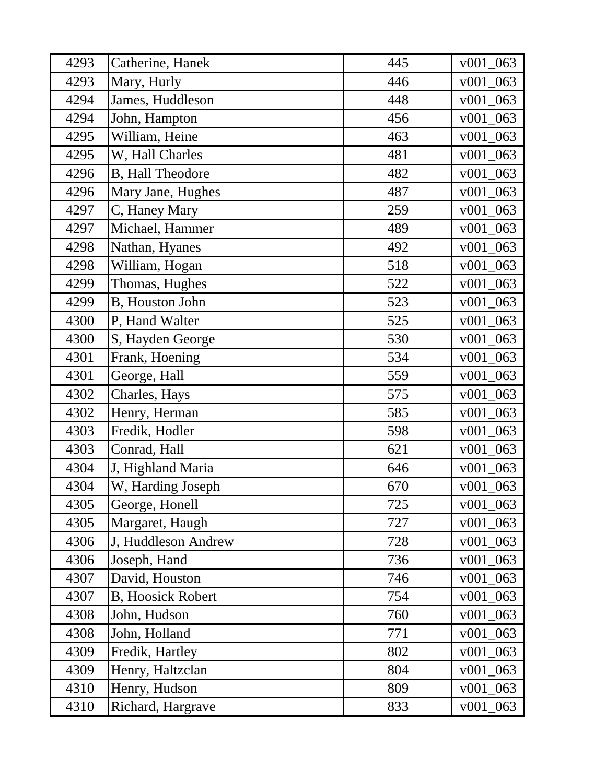| 4293 | Catherine, Hanek          | 445 | $v001_063$  |
|------|---------------------------|-----|-------------|
| 4293 | Mary, Hurly               | 446 | v001 063    |
| 4294 | James, Huddleson          | 448 | v001 063    |
| 4294 | John, Hampton             | 456 | $v001_063$  |
| 4295 | William, Heine            | 463 | $v001_063$  |
| 4295 | W, Hall Charles           | 481 | $v001_063$  |
| 4296 | <b>B</b> , Hall Theodore  | 482 | $v001_063$  |
| 4296 | Mary Jane, Hughes         | 487 | $v001_063$  |
| 4297 | C, Haney Mary             | 259 | $v001_063$  |
| 4297 | Michael, Hammer           | 489 | v001 063    |
| 4298 | Nathan, Hyanes            | 492 | $v001_063$  |
| 4298 | William, Hogan            | 518 | v001 063    |
| 4299 | Thomas, Hughes            | 522 | v001 063    |
| 4299 | <b>B</b> , Houston John   | 523 | $v001_063$  |
| 4300 | P, Hand Walter            | 525 | v001<br>063 |
| 4300 | S, Hayden George          | 530 | v001 063    |
| 4301 | Frank, Hoening            | 534 | v001 063    |
| 4301 | George, Hall              | 559 | v001 063    |
| 4302 | Charles, Hays             | 575 | $v001_063$  |
| 4302 | Henry, Herman             | 585 | $v001_063$  |
| 4303 | Fredik, Hodler            | 598 | $v001_063$  |
| 4303 | Conrad, Hall              | 621 | v001 063    |
| 4304 | J, Highland Maria         | 646 | v001 063    |
| 4304 | W, Harding Joseph         | 670 | $v001_063$  |
| 4305 | George, Honell            | 725 | $v001_063$  |
| 4305 | Margaret, Haugh           | 727 | $v001_063$  |
| 4306 | J, Huddleson Andrew       | 728 | $v001_063$  |
| 4306 | Joseph, Hand              | 736 | $v001_063$  |
| 4307 | David, Houston            | 746 | $v001_063$  |
| 4307 | <b>B</b> , Hoosick Robert | 754 | $v001_063$  |
| 4308 | John, Hudson              | 760 | $v001_063$  |
| 4308 | John, Holland             | 771 | $v001_063$  |
| 4309 | Fredik, Hartley           | 802 | $v001_063$  |
| 4309 | Henry, Haltzclan          | 804 | $v001_063$  |
| 4310 | Henry, Hudson             | 809 | v001 063    |
| 4310 | Richard, Hargrave         | 833 | v001 063    |